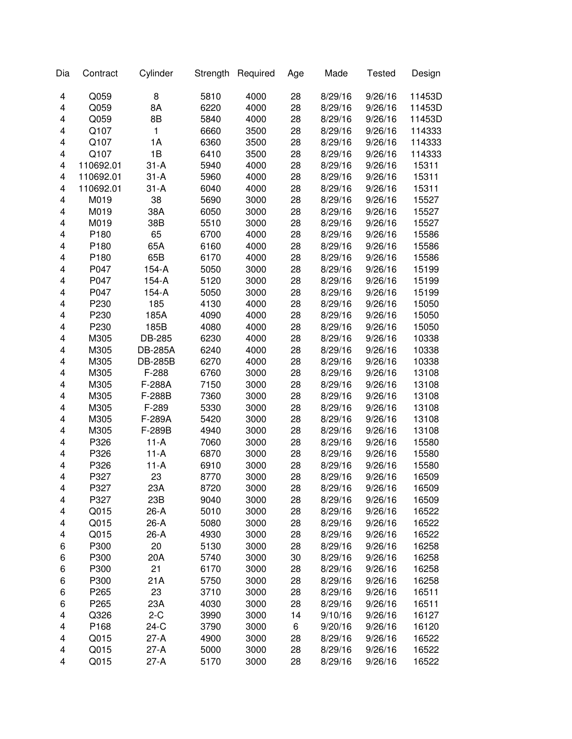| Dia    | Contract     | Cylinder       | Strength     | Required | Age      | Made    | <b>Tested</b> | Design |
|--------|--------------|----------------|--------------|----------|----------|---------|---------------|--------|
| 4      | Q059         | 8              | 5810         | 4000     | 28       | 8/29/16 | 9/26/16       | 11453D |
| 4      | Q059         | 8A             | 6220         | 4000     | 28       | 8/29/16 | 9/26/16       | 11453D |
| 4      | Q059         | 8B             | 5840         | 4000     | 28       | 8/29/16 | 9/26/16       | 11453D |
| 4      | Q107         | 1              | 6660         | 3500     | 28       | 8/29/16 | 9/26/16       | 114333 |
| 4      | Q107         | 1A             | 6360         | 3500     | 28       | 8/29/16 | 9/26/16       | 114333 |
| 4      | Q107         | 1B             | 6410         | 3500     | 28       | 8/29/16 | 9/26/16       | 114333 |
| 4      | 110692.01    | $31 - A$       | 5940         | 4000     | 28       | 8/29/16 | 9/26/16       | 15311  |
| 4      | 110692.01    | $31 - A$       | 5960         | 4000     | 28       | 8/29/16 | 9/26/16       | 15311  |
| 4      | 110692.01    | $31-A$         | 6040         | 4000     | 28       | 8/29/16 | 9/26/16       | 15311  |
| 4      | M019         | 38             | 5690         | 3000     | 28       | 8/29/16 | 9/26/16       | 15527  |
| 4      | M019         | 38A            | 6050         | 3000     | 28       | 8/29/16 | 9/26/16       | 15527  |
| 4      | M019         | 38B            | 5510         | 3000     | 28       | 8/29/16 | 9/26/16       | 15527  |
| 4      | P180         | 65             | 6700         | 4000     | 28       | 8/29/16 | 9/26/16       | 15586  |
| 4      | P180         | 65A            | 6160         | 4000     | 28       | 8/29/16 | 9/26/16       | 15586  |
| 4      | P180         | 65B            | 6170         | 4000     | 28       | 8/29/16 | 9/26/16       | 15586  |
| 4      | P047         | $154-A$        | 5050         | 3000     | 28       | 8/29/16 | 9/26/16       | 15199  |
| 4      | P047         | $154-A$        | 5120         | 3000     | 28       | 8/29/16 | 9/26/16       | 15199  |
| 4      | P047         | $154-A$        | 5050         | 3000     | 28       | 8/29/16 | 9/26/16       | 15199  |
| 4      | P230         | 185            | 4130         | 4000     | 28       | 8/29/16 | 9/26/16       | 15050  |
| 4      | P230         | 185A           | 4090         | 4000     | 28       | 8/29/16 | 9/26/16       | 15050  |
| 4      | P230         | 185B           | 4080         | 4000     | 28       | 8/29/16 | 9/26/16       | 15050  |
| 4      | M305         | DB-285         | 6230         | 4000     | 28       | 8/29/16 | 9/26/16       | 10338  |
| 4      | M305         | <b>DB-285A</b> | 6240         | 4000     | 28       | 8/29/16 | 9/26/16       | 10338  |
| 4      | M305         | <b>DB-285B</b> | 6270         | 4000     | 28       | 8/29/16 | 9/26/16       | 10338  |
| 4      | M305         | F-288          | 6760         | 3000     | 28       | 8/29/16 | 9/26/16       | 13108  |
| 4      | M305         | F-288A         | 7150         | 3000     | 28       | 8/29/16 | 9/26/16       | 13108  |
| 4      | M305         | F-288B         | 7360         | 3000     | 28       | 8/29/16 | 9/26/16       | 13108  |
| 4      | M305         | F-289          | 5330         | 3000     | 28       | 8/29/16 | 9/26/16       | 13108  |
| 4      | M305         | F-289A         | 5420         | 3000     | 28       | 8/29/16 | 9/26/16       | 13108  |
| 4      | M305         | F-289B         | 4940         | 3000     | 28       | 8/29/16 | 9/26/16       | 13108  |
| 4      | P326         | $11-A$         | 7060         | 3000     | 28       | 8/29/16 | 9/26/16       | 15580  |
| 4      | P326         | $11-A$         | 6870         | 3000     | 28       | 8/29/16 | 9/26/16       | 15580  |
| 4      | P326         | $11-A$         | 6910         | 3000     | 28       | 8/29/16 | 9/26/16       | 15580  |
| 4      | P327         | 23             | 8770         | 3000     | 28       | 8/29/16 | 9/26/16       | 16509  |
| 4      | P327         | 23A            | 8720         | 3000     | 28       | 8/29/16 | 9/26/16       | 16509  |
| 4      | P327         | 23B            | 9040         | 3000     | 28       | 8/29/16 | 9/26/16       | 16509  |
| 4      | Q015         | 26-A           | 5010         | 3000     | 28       | 8/29/16 | 9/26/16       | 16522  |
| 4      | Q015         | 26-A           | 5080         | 3000     | 28       | 8/29/16 | 9/26/16       | 16522  |
| 4      | Q015         | 26-A           | 4930         | 3000     | 28       | 8/29/16 | 9/26/16       | 16522  |
| 6      | P300         | 20             | 5130         | 3000     | 28       | 8/29/16 | 9/26/16       | 16258  |
| 6      | P300         | 20A            | 5740         | 3000     | 30       | 8/29/16 | 9/26/16       | 16258  |
| 6      | P300         | 21             | 6170         | 3000     | 28       | 8/29/16 | 9/26/16       | 16258  |
| 6      | P300         | 21A            | 5750         | 3000     | 28       | 8/29/16 | 9/26/16       | 16258  |
| 6      | P265         | 23             | 3710         | 3000     | 28       | 8/29/16 | 9/26/16       | 16511  |
| 6      | P265         | 23A            | 4030         | 3000     | 28       | 8/29/16 | 9/26/16       | 16511  |
| 4      | Q326         | $2-C$          | 3990         | 3000     | 14       | 9/10/16 | 9/26/16       | 16127  |
| 4      | P168         | $24-C$         | 3790         |          | 6        | 9/20/16 | 9/26/16       | 16120  |
| 4      |              | 27-A           |              | 3000     |          | 8/29/16 | 9/26/16       | 16522  |
|        | Q015         |                | 4900         | 3000     | 28       |         |               |        |
| 4<br>4 | Q015<br>Q015 | 27-A           | 5000<br>5170 | 3000     | 28<br>28 | 8/29/16 | 9/26/16       | 16522  |
|        |              | $27-A$         |              | 3000     |          | 8/29/16 | 9/26/16       | 16522  |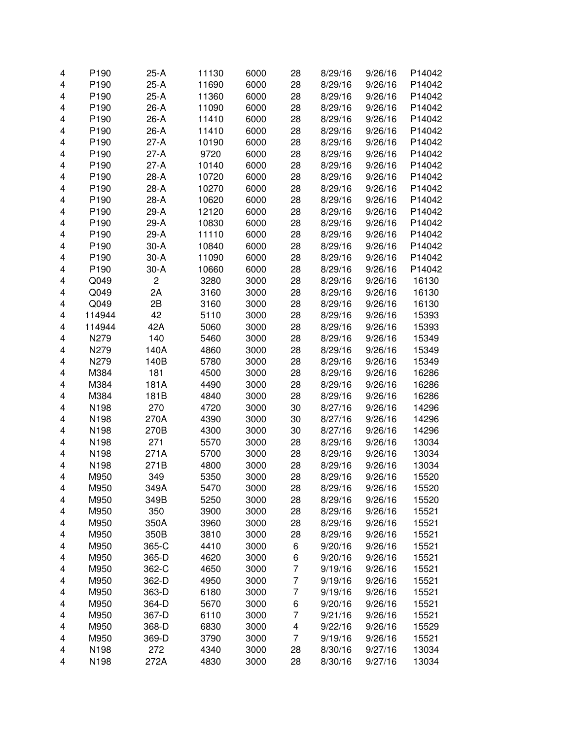| 4 | P190             | $25-A$         | 11130 | 6000 | 28                      | 8/29/16 | 9/26/16 | P14042 |
|---|------------------|----------------|-------|------|-------------------------|---------|---------|--------|
| 4 | P190             | $25-A$         | 11690 | 6000 | 28                      | 8/29/16 | 9/26/16 | P14042 |
| 4 | P190             | $25-A$         | 11360 | 6000 | 28                      | 8/29/16 | 9/26/16 | P14042 |
| 4 | P190             | 26-A           | 11090 | 6000 | 28                      | 8/29/16 | 9/26/16 | P14042 |
| 4 | P190             | 26-A           | 11410 | 6000 | 28                      | 8/29/16 | 9/26/16 | P14042 |
| 4 | P190             | 26-A           | 11410 | 6000 | 28                      | 8/29/16 | 9/26/16 | P14042 |
| 4 | P <sub>190</sub> | $27-A$         | 10190 | 6000 | 28                      | 8/29/16 | 9/26/16 | P14042 |
|   |                  | $27-A$         |       | 6000 |                         |         | 9/26/16 | P14042 |
| 4 | P190             |                | 9720  |      | 28                      | 8/29/16 |         | P14042 |
| 4 | P <sub>190</sub> | $27-A$         | 10140 | 6000 | 28                      | 8/29/16 | 9/26/16 |        |
| 4 | P <sub>190</sub> | 28-A           | 10720 | 6000 | 28                      | 8/29/16 | 9/26/16 | P14042 |
| 4 | P190             | 28-A           | 10270 | 6000 | 28                      | 8/29/16 | 9/26/16 | P14042 |
| 4 | P190             | 28-A           | 10620 | 6000 | 28                      | 8/29/16 | 9/26/16 | P14042 |
| 4 | P190             | 29-A           | 12120 | 6000 | 28                      | 8/29/16 | 9/26/16 | P14042 |
| 4 | P <sub>190</sub> | 29-A           | 10830 | 6000 | 28                      | 8/29/16 | 9/26/16 | P14042 |
| 4 | P190             | 29-A           | 11110 | 6000 | 28                      | 8/29/16 | 9/26/16 | P14042 |
| 4 | P190             | $30-A$         | 10840 | 6000 | 28                      | 8/29/16 | 9/26/16 | P14042 |
| 4 | P190             | $30-A$         | 11090 | 6000 | 28                      | 8/29/16 | 9/26/16 | P14042 |
| 4 | P190             | $30-A$         | 10660 | 6000 | 28                      | 8/29/16 | 9/26/16 | P14042 |
| 4 | Q049             | $\overline{c}$ | 3280  | 3000 | 28                      | 8/29/16 | 9/26/16 | 16130  |
| 4 | Q049             | 2A             | 3160  | 3000 | 28                      | 8/29/16 | 9/26/16 | 16130  |
| 4 | Q049             | 2B             | 3160  | 3000 | 28                      | 8/29/16 | 9/26/16 | 16130  |
| 4 | 114944           | 42             | 5110  | 3000 | 28                      | 8/29/16 | 9/26/16 | 15393  |
| 4 | 114944           | 42A            | 5060  | 3000 | 28                      | 8/29/16 | 9/26/16 | 15393  |
| 4 | N279             | 140            | 5460  | 3000 | 28                      | 8/29/16 | 9/26/16 | 15349  |
| 4 | N279             | 140A           | 4860  | 3000 | 28                      | 8/29/16 | 9/26/16 | 15349  |
| 4 | N279             | 140B           | 5780  | 3000 | 28                      | 8/29/16 | 9/26/16 | 15349  |
| 4 | M384             | 181            | 4500  | 3000 | 28                      | 8/29/16 | 9/26/16 | 16286  |
| 4 | M384             | 181A           | 4490  | 3000 | 28                      | 8/29/16 | 9/26/16 | 16286  |
| 4 | M384             | 181B           | 4840  | 3000 | 28                      | 8/29/16 | 9/26/16 | 16286  |
| 4 | N198             | 270            | 4720  | 3000 | 30                      | 8/27/16 | 9/26/16 | 14296  |
| 4 | N198             | 270A           | 4390  | 3000 | 30                      | 8/27/16 | 9/26/16 | 14296  |
| 4 | N198             | 270B           | 4300  | 3000 | 30                      | 8/27/16 | 9/26/16 | 14296  |
| 4 | N198             | 271            | 5570  | 3000 | 28                      | 8/29/16 | 9/26/16 | 13034  |
| 4 | N198             | 271A           | 5700  | 3000 | 28                      | 8/29/16 | 9/26/16 | 13034  |
| 4 | N198             | 271B           | 4800  | 3000 | 28                      | 8/29/16 | 9/26/16 | 13034  |
| 4 | M950             | 349            | 5350  | 3000 | 28                      | 8/29/16 | 9/26/16 | 15520  |
| 4 | M950             | 349A           | 5470  | 3000 | 28                      | 8/29/16 | 9/26/16 | 15520  |
| 4 | M950             | 349B           | 5250  | 3000 | 28                      | 8/29/16 | 9/26/16 | 15520  |
| 4 | M950             | 350            | 3900  | 3000 | 28                      | 8/29/16 | 9/26/16 | 15521  |
| 4 | M950             | 350A           | 3960  | 3000 | 28                      | 8/29/16 | 9/26/16 | 15521  |
| 4 | M950             | 350B           | 3810  | 3000 | 28                      | 8/29/16 | 9/26/16 | 15521  |
| 4 | M950             | 365-C          | 4410  | 3000 | 6                       | 9/20/16 | 9/26/16 | 15521  |
| 4 | M950             | 365-D          | 4620  | 3000 | 6                       | 9/20/16 | 9/26/16 | 15521  |
| 4 | M950             | 362-C          | 4650  | 3000 | $\overline{7}$          | 9/19/16 | 9/26/16 | 15521  |
| 4 | M950             | 362-D          | 4950  | 3000 | $\overline{7}$          | 9/19/16 | 9/26/16 | 15521  |
| 4 | M950             | 363-D          | 6180  | 3000 | $\overline{7}$          | 9/19/16 | 9/26/16 | 15521  |
| 4 | M950             | 364-D          | 5670  | 3000 | 6                       | 9/20/16 | 9/26/16 | 15521  |
| 4 | M950             | 367-D          | 6110  | 3000 | 7                       | 9/21/16 | 9/26/16 | 15521  |
| 4 | M950             | 368-D          | 6830  | 3000 | $\overline{\mathbf{4}}$ | 9/22/16 | 9/26/16 | 15529  |
| 4 | M950             | 369-D          | 3790  |      |                         | 9/19/16 | 9/26/16 | 15521  |
|   |                  | 272            |       | 3000 | 7                       |         | 9/27/16 |        |
| 4 | N198             |                | 4340  | 3000 | 28                      | 8/30/16 |         | 13034  |
| 4 | N198             | 272A           | 4830  | 3000 | 28                      | 8/30/16 | 9/27/16 | 13034  |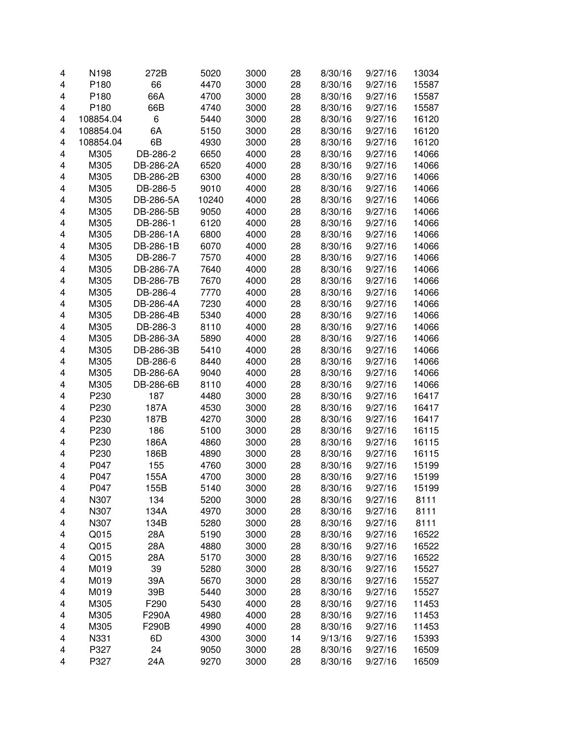| 4 | N198      | 272B      | 5020  | 3000 | 28 | 8/30/16 | 9/27/16 | 13034 |
|---|-----------|-----------|-------|------|----|---------|---------|-------|
| 4 | P180      | 66        | 4470  | 3000 | 28 | 8/30/16 | 9/27/16 | 15587 |
| 4 | P180      | 66A       | 4700  | 3000 | 28 | 8/30/16 | 9/27/16 | 15587 |
| 4 | P180      | 66B       | 4740  | 3000 | 28 | 8/30/16 | 9/27/16 | 15587 |
| 4 | 108854.04 | 6         | 5440  | 3000 | 28 | 8/30/16 | 9/27/16 | 16120 |
| 4 | 108854.04 | 6A        | 5150  | 3000 | 28 | 8/30/16 | 9/27/16 | 16120 |
| 4 | 108854.04 | 6B        | 4930  | 3000 | 28 | 8/30/16 | 9/27/16 | 16120 |
|   | M305      | DB-286-2  |       | 4000 | 28 | 8/30/16 | 9/27/16 |       |
| 4 |           |           | 6650  |      |    |         |         | 14066 |
| 4 | M305      | DB-286-2A | 6520  | 4000 | 28 | 8/30/16 | 9/27/16 | 14066 |
| 4 | M305      | DB-286-2B | 6300  | 4000 | 28 | 8/30/16 | 9/27/16 | 14066 |
| 4 | M305      | DB-286-5  | 9010  | 4000 | 28 | 8/30/16 | 9/27/16 | 14066 |
| 4 | M305      | DB-286-5A | 10240 | 4000 | 28 | 8/30/16 | 9/27/16 | 14066 |
| 4 | M305      | DB-286-5B | 9050  | 4000 | 28 | 8/30/16 | 9/27/16 | 14066 |
| 4 | M305      | DB-286-1  | 6120  | 4000 | 28 | 8/30/16 | 9/27/16 | 14066 |
| 4 | M305      | DB-286-1A | 6800  | 4000 | 28 | 8/30/16 | 9/27/16 | 14066 |
| 4 | M305      | DB-286-1B | 6070  | 4000 | 28 | 8/30/16 | 9/27/16 | 14066 |
| 4 | M305      | DB-286-7  | 7570  | 4000 | 28 | 8/30/16 | 9/27/16 | 14066 |
| 4 | M305      | DB-286-7A | 7640  | 4000 | 28 | 8/30/16 | 9/27/16 | 14066 |
| 4 | M305      | DB-286-7B | 7670  | 4000 | 28 | 8/30/16 | 9/27/16 | 14066 |
| 4 | M305      | DB-286-4  | 7770  | 4000 | 28 | 8/30/16 | 9/27/16 | 14066 |
| 4 | M305      | DB-286-4A | 7230  | 4000 | 28 | 8/30/16 | 9/27/16 | 14066 |
| 4 | M305      | DB-286-4B | 5340  | 4000 | 28 | 8/30/16 | 9/27/16 | 14066 |
| 4 | M305      | DB-286-3  | 8110  | 4000 | 28 | 8/30/16 | 9/27/16 | 14066 |
| 4 | M305      | DB-286-3A | 5890  | 4000 | 28 | 8/30/16 | 9/27/16 | 14066 |
| 4 | M305      | DB-286-3B | 5410  | 4000 | 28 | 8/30/16 | 9/27/16 | 14066 |
| 4 | M305      | DB-286-6  | 8440  | 4000 | 28 | 8/30/16 | 9/27/16 | 14066 |
| 4 | M305      | DB-286-6A | 9040  | 4000 | 28 | 8/30/16 | 9/27/16 | 14066 |
|   |           |           |       |      |    |         |         |       |
| 4 | M305      | DB-286-6B | 8110  | 4000 | 28 | 8/30/16 | 9/27/16 | 14066 |
| 4 | P230      | 187       | 4480  | 3000 | 28 | 8/30/16 | 9/27/16 | 16417 |
| 4 | P230      | 187A      | 4530  | 3000 | 28 | 8/30/16 | 9/27/16 | 16417 |
| 4 | P230      | 187B      | 4270  | 3000 | 28 | 8/30/16 | 9/27/16 | 16417 |
| 4 | P230      | 186       | 5100  | 3000 | 28 | 8/30/16 | 9/27/16 | 16115 |
| 4 | P230      | 186A      | 4860  | 3000 | 28 | 8/30/16 | 9/27/16 | 16115 |
| 4 | P230      | 186B      | 4890  | 3000 | 28 | 8/30/16 | 9/27/16 | 16115 |
| 4 | P047      | 155       | 4760  | 3000 | 28 | 8/30/16 | 9/27/16 | 15199 |
| 4 | P047      | 155A      | 4700  | 3000 | 28 | 8/30/16 | 9/27/16 | 15199 |
| 4 | P047      | 155B      | 5140  | 3000 | 28 | 8/30/16 | 9/27/16 | 15199 |
| 4 | N307      | 134       | 5200  | 3000 | 28 | 8/30/16 | 9/27/16 | 8111  |
| 4 | N307      | 134A      | 4970  | 3000 | 28 | 8/30/16 | 9/27/16 | 8111  |
| 4 | N307      | 134B      | 5280  | 3000 | 28 | 8/30/16 | 9/27/16 | 8111  |
| 4 | Q015      | 28A       | 5190  | 3000 | 28 | 8/30/16 | 9/27/16 | 16522 |
| 4 | Q015      | 28A       | 4880  | 3000 | 28 | 8/30/16 | 9/27/16 | 16522 |
| 4 | Q015      | 28A       | 5170  | 3000 | 28 | 8/30/16 | 9/27/16 | 16522 |
| 4 | M019      | 39        | 5280  | 3000 | 28 | 8/30/16 | 9/27/16 | 15527 |
| 4 | M019      | 39A       | 5670  | 3000 | 28 | 8/30/16 | 9/27/16 | 15527 |
| 4 | M019      | 39B       | 5440  | 3000 | 28 | 8/30/16 | 9/27/16 | 15527 |
| 4 | M305      | F290      | 5430  | 4000 | 28 | 8/30/16 | 9/27/16 | 11453 |
| 4 | M305      | F290A     | 4980  | 4000 | 28 | 8/30/16 | 9/27/16 | 11453 |
| 4 | M305      | F290B     | 4990  | 4000 | 28 | 8/30/16 | 9/27/16 | 11453 |
| 4 | N331      | 6D        | 4300  |      | 14 | 9/13/16 | 9/27/16 | 15393 |
|   |           |           |       | 3000 |    |         |         |       |
| 4 | P327      | 24        | 9050  | 3000 | 28 | 8/30/16 | 9/27/16 | 16509 |
| 4 | P327      | 24A       | 9270  | 3000 | 28 | 8/30/16 | 9/27/16 | 16509 |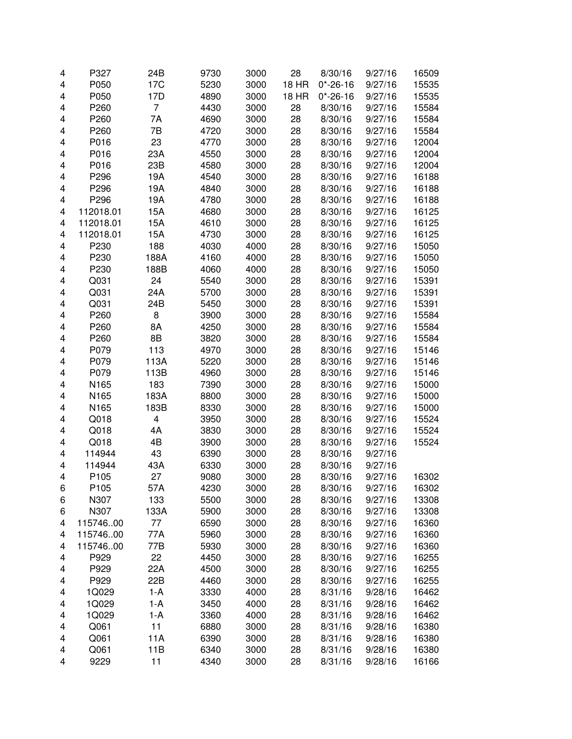| 4                       | P327             | 24B             | 9730 | 3000 | 28           | 8/30/16        | 9/27/16 | 16509 |
|-------------------------|------------------|-----------------|------|------|--------------|----------------|---------|-------|
| 4                       | P050             | 17 <sub>C</sub> | 5230 | 3000 | <b>18 HR</b> | $0* - 26 - 16$ | 9/27/16 | 15535 |
| 4                       | P050             | 17D             | 4890 | 3000 | <b>18 HR</b> | $0* - 26 - 16$ | 9/27/16 | 15535 |
| 4                       | P260             | 7               | 4430 | 3000 | 28           | 8/30/16        | 9/27/16 | 15584 |
| 4                       | P260             | 7Α              | 4690 | 3000 | 28           | 8/30/16        | 9/27/16 | 15584 |
| 4                       | P260             | 7B              | 4720 | 3000 | 28           | 8/30/16        | 9/27/16 | 15584 |
| 4                       | P016             | 23              | 4770 | 3000 | 28           | 8/30/16        | 9/27/16 | 12004 |
|                         |                  | 23A             |      | 3000 |              |                |         | 12004 |
| 4                       | P016             |                 | 4550 |      | 28           | 8/30/16        | 9/27/16 |       |
| 4                       | P016             | 23B             | 4580 | 3000 | 28           | 8/30/16        | 9/27/16 | 12004 |
| 4                       | P296             | 19A             | 4540 | 3000 | 28           | 8/30/16        | 9/27/16 | 16188 |
| 4                       | P296             | 19A             | 4840 | 3000 | 28           | 8/30/16        | 9/27/16 | 16188 |
| 4                       | P296             | 19A             | 4780 | 3000 | 28           | 8/30/16        | 9/27/16 | 16188 |
| 4                       | 112018.01        | 15A             | 4680 | 3000 | 28           | 8/30/16        | 9/27/16 | 16125 |
| 4                       | 112018.01        | 15A             | 4610 | 3000 | 28           | 8/30/16        | 9/27/16 | 16125 |
| 4                       | 112018.01        | 15A             | 4730 | 3000 | 28           | 8/30/16        | 9/27/16 | 16125 |
| 4                       | P230             | 188             | 4030 | 4000 | 28           | 8/30/16        | 9/27/16 | 15050 |
| 4                       | P230             | 188A            | 4160 | 4000 | 28           | 8/30/16        | 9/27/16 | 15050 |
| 4                       | P230             | 188B            | 4060 | 4000 | 28           | 8/30/16        | 9/27/16 | 15050 |
| 4                       | Q031             | 24              | 5540 | 3000 | 28           | 8/30/16        | 9/27/16 | 15391 |
| 4                       | Q031             | 24A             | 5700 | 3000 | 28           | 8/30/16        | 9/27/16 | 15391 |
| 4                       | Q031             | 24B             | 5450 | 3000 | 28           | 8/30/16        | 9/27/16 | 15391 |
| 4                       | P260             | 8               | 3900 | 3000 | 28           | 8/30/16        | 9/27/16 | 15584 |
| 4                       | P260             | 8A              | 4250 | 3000 | 28           | 8/30/16        | 9/27/16 | 15584 |
| 4                       | P260             | 8B              | 3820 | 3000 | 28           | 8/30/16        | 9/27/16 | 15584 |
| 4                       | P079             | 113             | 4970 | 3000 | 28           | 8/30/16        | 9/27/16 | 15146 |
| $\overline{\mathbf{4}}$ | P079             | 113A            | 5220 | 3000 | 28           | 8/30/16        | 9/27/16 | 15146 |
|                         | P079             |                 |      |      |              |                | 9/27/16 |       |
| $\overline{\mathbf{4}}$ |                  | 113B            | 4960 | 3000 | 28           | 8/30/16        |         | 15146 |
| 4                       | N165             | 183             | 7390 | 3000 | 28           | 8/30/16        | 9/27/16 | 15000 |
| 4                       | N165             | 183A            | 8800 | 3000 | 28           | 8/30/16        | 9/27/16 | 15000 |
| 4                       | N165             | 183B            | 8330 | 3000 | 28           | 8/30/16        | 9/27/16 | 15000 |
| $\overline{\mathbf{4}}$ | Q018             | 4               | 3950 | 3000 | 28           | 8/30/16        | 9/27/16 | 15524 |
| $\overline{\mathbf{4}}$ | Q018             | 4A              | 3830 | 3000 | 28           | 8/30/16        | 9/27/16 | 15524 |
| 4                       | Q018             | 4B              | 3900 | 3000 | 28           | 8/30/16        | 9/27/16 | 15524 |
| 4                       | 114944           | 43              | 6390 | 3000 | 28           | 8/30/16        | 9/27/16 |       |
| 4                       | 114944           | 43A             | 6330 | 3000 | 28           | 8/30/16        | 9/27/16 |       |
| 4                       | P105             | 27              | 9080 | 3000 | 28           | 8/30/16        | 9/27/16 | 16302 |
| 6                       | P <sub>105</sub> | 57A             | 4230 | 3000 | 28           | 8/30/16        | 9/27/16 | 16302 |
| 6                       | N307             | 133             | 5500 | 3000 | 28           | 8/30/16        | 9/27/16 | 13308 |
| 6                       | N307             | 133A            | 5900 | 3000 | 28           | 8/30/16        | 9/27/16 | 13308 |
| 4                       | 11574600         | 77              | 6590 | 3000 | 28           | 8/30/16        | 9/27/16 | 16360 |
| 4                       | 11574600         | 77A             | 5960 | 3000 | 28           | 8/30/16        | 9/27/16 | 16360 |
| 4                       | 11574600         | 77B             | 5930 | 3000 | 28           | 8/30/16        | 9/27/16 | 16360 |
| 4                       | P929             | 22              | 4450 | 3000 | 28           | 8/30/16        | 9/27/16 | 16255 |
| 4                       | P929             | 22A             | 4500 | 3000 | 28           | 8/30/16        | 9/27/16 | 16255 |
| 4                       | P929             | 22B             | 4460 | 3000 | 28           | 8/30/16        | 9/27/16 | 16255 |
| 4                       | 1Q029            | $1-A$           | 3330 | 4000 | 28           | 8/31/16        | 9/28/16 | 16462 |
| 4                       | 1Q029            | $1-A$           | 3450 | 4000 | 28           | 8/31/16        | 9/28/16 | 16462 |
| 4                       | 1Q029            | $1-A$           | 3360 | 4000 | 28           | 8/31/16        | 9/28/16 | 16462 |
| 4                       | Q061             | 11              | 6880 | 3000 | 28           | 8/31/16        | 9/28/16 | 16380 |
| 4                       | Q061             | 11A             | 6390 | 3000 | 28           |                | 9/28/16 | 16380 |
|                         |                  |                 |      |      |              | 8/31/16        |         |       |
| 4                       | Q061             | 11B             | 6340 | 3000 | 28           | 8/31/16        | 9/28/16 | 16380 |
| 4                       | 9229             | 11              | 4340 | 3000 | 28           | 8/31/16        | 9/28/16 | 16166 |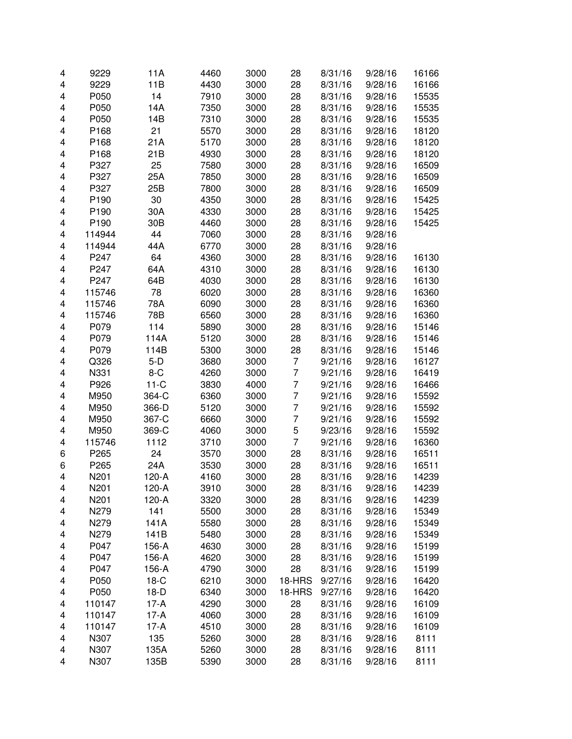| 4                       | 9229   | 11A             | 4460 | 3000 | 28             | 8/31/16 | 9/28/16 | 16166 |
|-------------------------|--------|-----------------|------|------|----------------|---------|---------|-------|
| $\overline{\mathbf{4}}$ | 9229   | 11B             | 4430 | 3000 | 28             | 8/31/16 | 9/28/16 | 16166 |
|                         | P050   | 14              | 7910 |      |                |         | 9/28/16 |       |
| 4                       |        |                 |      | 3000 | 28             | 8/31/16 |         | 15535 |
| 4                       | P050   | 14A             | 7350 | 3000 | 28             | 8/31/16 | 9/28/16 | 15535 |
| 4                       | P050   | 14B             | 7310 | 3000 | 28             | 8/31/16 | 9/28/16 | 15535 |
| 4                       | P168   | 21              | 5570 | 3000 | 28             | 8/31/16 | 9/28/16 | 18120 |
| 4                       | P168   | 21A             | 5170 | 3000 | 28             | 8/31/16 | 9/28/16 | 18120 |
| 4                       | P168   | 21B             | 4930 | 3000 | 28             | 8/31/16 | 9/28/16 | 18120 |
| 4                       | P327   | 25              | 7580 | 3000 | 28             | 8/31/16 | 9/28/16 | 16509 |
| 4                       | P327   | 25A             | 7850 | 3000 | 28             | 8/31/16 | 9/28/16 | 16509 |
| $\overline{\mathbf{4}}$ | P327   | 25B             | 7800 | 3000 | 28             | 8/31/16 | 9/28/16 | 16509 |
| 4                       | P190   | 30              | 4350 | 3000 | 28             | 8/31/16 | 9/28/16 | 15425 |
| 4                       | P190   | 30A             | 4330 | 3000 | 28             | 8/31/16 | 9/28/16 | 15425 |
| 4                       | P190   | 30 <sub>B</sub> | 4460 | 3000 | 28             | 8/31/16 | 9/28/16 | 15425 |
| 4                       | 114944 | 44              | 7060 | 3000 | 28             | 8/31/16 | 9/28/16 |       |
| 4                       | 114944 | 44A             | 6770 | 3000 | 28             | 8/31/16 | 9/28/16 |       |
| 4                       | P247   | 64              | 4360 | 3000 | 28             | 8/31/16 | 9/28/16 | 16130 |
| 4                       | P247   | 64A             | 4310 | 3000 | 28             | 8/31/16 | 9/28/16 | 16130 |
| $\overline{\mathbf{4}}$ | P247   | 64B             | 4030 | 3000 | 28             | 8/31/16 | 9/28/16 | 16130 |
| 4                       | 115746 | 78              | 6020 | 3000 | 28             | 8/31/16 | 9/28/16 | 16360 |
|                         |        |                 |      |      |                |         |         |       |
| 4                       | 115746 | 78A             | 6090 | 3000 | 28             | 8/31/16 | 9/28/16 | 16360 |
| 4                       | 115746 | 78B             | 6560 | 3000 | 28             | 8/31/16 | 9/28/16 | 16360 |
| 4                       | P079   | 114             | 5890 | 3000 | 28             | 8/31/16 | 9/28/16 | 15146 |
| 4                       | P079   | 114A            | 5120 | 3000 | 28             | 8/31/16 | 9/28/16 | 15146 |
| 4                       | P079   | 114B            | 5300 | 3000 | 28             | 8/31/16 | 9/28/16 | 15146 |
| 4                       | Q326   | $5-D$           | 3680 | 3000 | 7              | 9/21/16 | 9/28/16 | 16127 |
| 4                       | N331   | $8-C$           | 4260 | 3000 | 7              | 9/21/16 | 9/28/16 | 16419 |
| $\overline{\mathbf{4}}$ | P926   | $11-C$          | 3830 | 4000 | 7              | 9/21/16 | 9/28/16 | 16466 |
| $\overline{\mathbf{4}}$ | M950   | 364-C           | 6360 | 3000 | 7              | 9/21/16 | 9/28/16 | 15592 |
| 4                       | M950   | 366-D           | 5120 | 3000 | 7              | 9/21/16 | 9/28/16 | 15592 |
| 4                       | M950   | 367-C           | 6660 | 3000 | 7              | 9/21/16 | 9/28/16 | 15592 |
| $\overline{\mathbf{4}}$ | M950   | 369-C           | 4060 | 3000 | 5              | 9/23/16 | 9/28/16 | 15592 |
| 4                       | 115746 | 1112            | 3710 | 3000 | $\overline{7}$ | 9/21/16 | 9/28/16 | 16360 |
| 6                       | P265   | 24              | 3570 | 3000 | 28             | 8/31/16 | 9/28/16 | 16511 |
| 6                       | P265   | 24A             | 3530 | 3000 | 28             | 8/31/16 | 9/28/16 | 16511 |
| $\overline{\mathbf{4}}$ | N201   | 120-A           | 4160 | 3000 | 28             | 8/31/16 | 9/28/16 | 14239 |
| 4                       | N201   | 120-A           | 3910 | 3000 | 28             | 8/31/16 | 9/28/16 | 14239 |
| 4                       | N201   | 120-A           | 3320 | 3000 | 28             | 8/31/16 | 9/28/16 | 14239 |
| 4                       | N279   | 141             | 5500 | 3000 | 28             | 8/31/16 | 9/28/16 | 15349 |
| 4                       | N279   | 141A            | 5580 | 3000 | 28             | 8/31/16 | 9/28/16 | 15349 |
|                         | N279   |                 |      | 3000 | 28             |         |         |       |
| 4                       |        | 141B            | 5480 |      |                | 8/31/16 | 9/28/16 | 15349 |
| 4                       | P047   | 156-A           | 4630 | 3000 | 28             | 8/31/16 | 9/28/16 | 15199 |
| 4                       | P047   | 156-A           | 4620 | 3000 | 28             | 8/31/16 | 9/28/16 | 15199 |
| 4                       | P047   | 156-A           | 4790 | 3000 | 28             | 8/31/16 | 9/28/16 | 15199 |
| 4                       | P050   | $18-C$          | 6210 | 3000 | 18-HRS         | 9/27/16 | 9/28/16 | 16420 |
| 4                       | P050   | $18-D$          | 6340 | 3000 | 18-HRS         | 9/27/16 | 9/28/16 | 16420 |
| 4                       | 110147 | $17-A$          | 4290 | 3000 | 28             | 8/31/16 | 9/28/16 | 16109 |
| 4                       | 110147 | $17-A$          | 4060 | 3000 | 28             | 8/31/16 | 9/28/16 | 16109 |
| 4                       | 110147 | $17-A$          | 4510 | 3000 | 28             | 8/31/16 | 9/28/16 | 16109 |
| 4                       | N307   | 135             | 5260 | 3000 | 28             | 8/31/16 | 9/28/16 | 8111  |
| 4                       | N307   | 135A            | 5260 | 3000 | 28             | 8/31/16 | 9/28/16 | 8111  |
| 4                       | N307   | 135B            | 5390 | 3000 | 28             | 8/31/16 | 9/28/16 | 8111  |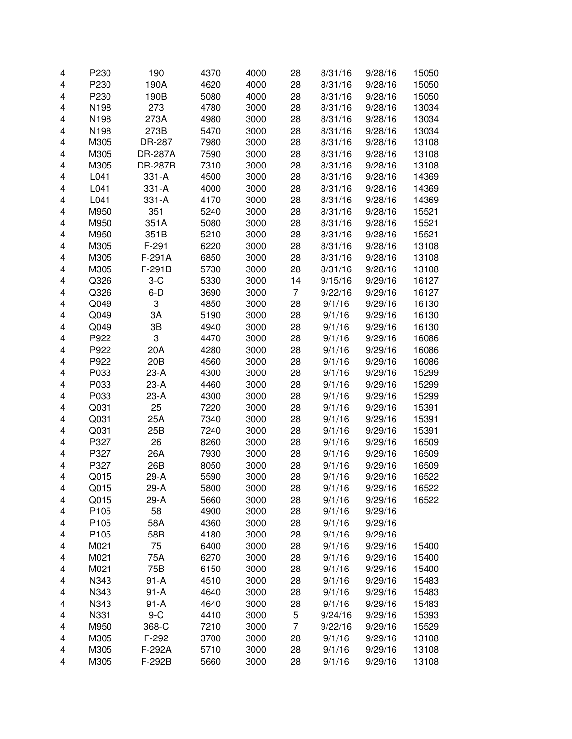| 4 | P230 | 190             | 4370 | 4000 | 28             | 8/31/16 | 9/28/16 | 15050 |
|---|------|-----------------|------|------|----------------|---------|---------|-------|
| 4 | P230 | 190A            | 4620 | 4000 | 28             | 8/31/16 | 9/28/16 | 15050 |
| 4 | P230 | 190B            | 5080 | 4000 | 28             | 8/31/16 | 9/28/16 | 15050 |
| 4 | N198 | 273             | 4780 | 3000 | 28             | 8/31/16 | 9/28/16 | 13034 |
| 4 | N198 | 273A            | 4980 | 3000 | 28             | 8/31/16 | 9/28/16 | 13034 |
| 4 | N198 | 273B            | 5470 | 3000 | 28             | 8/31/16 | 9/28/16 | 13034 |
| 4 | M305 | DR-287          | 7980 | 3000 | 28             | 8/31/16 | 9/28/16 | 13108 |
| 4 | M305 | <b>DR-287A</b>  | 7590 | 3000 | 28             | 8/31/16 | 9/28/16 | 13108 |
| 4 | M305 | <b>DR-287B</b>  | 7310 | 3000 | 28             | 8/31/16 | 9/28/16 | 13108 |
| 4 | L041 | 331-A           | 4500 | 3000 | 28             | 8/31/16 | 9/28/16 | 14369 |
| 4 | L041 | 331-A           | 4000 | 3000 | 28             | 8/31/16 | 9/28/16 | 14369 |
| 4 | L041 | 331-A           | 4170 | 3000 | 28             | 8/31/16 | 9/28/16 | 14369 |
| 4 | M950 | 351             | 5240 | 3000 | 28             | 8/31/16 | 9/28/16 | 15521 |
| 4 | M950 | 351A            | 5080 | 3000 | 28             | 8/31/16 | 9/28/16 | 15521 |
| 4 | M950 | 351B            | 5210 | 3000 | 28             | 8/31/16 | 9/28/16 | 15521 |
| 4 | M305 | $F-291$         | 6220 | 3000 | 28             | 8/31/16 | 9/28/16 | 13108 |
| 4 | M305 | F-291A          | 6850 | 3000 | 28             | 8/31/16 | 9/28/16 | 13108 |
| 4 | M305 | F-291B          | 5730 | 3000 | 28             | 8/31/16 | 9/28/16 | 13108 |
| 4 | Q326 | $3-C$           | 5330 | 3000 | 14             | 9/15/16 | 9/29/16 | 16127 |
| 4 | Q326 | $6-D$           | 3690 | 3000 | 7              | 9/22/16 | 9/29/16 | 16127 |
| 4 | Q049 | 3               | 4850 | 3000 | 28             | 9/1/16  | 9/29/16 | 16130 |
| 4 | Q049 | 3A              | 5190 | 3000 | 28             | 9/1/16  | 9/29/16 | 16130 |
| 4 | Q049 | 3B              | 4940 | 3000 | 28             | 9/1/16  | 9/29/16 | 16130 |
| 4 | P922 | 3               | 4470 | 3000 | 28             | 9/1/16  | 9/29/16 | 16086 |
| 4 | P922 | 20A             | 4280 | 3000 | 28             | 9/1/16  | 9/29/16 | 16086 |
| 4 | P922 | 20 <sub>B</sub> | 4560 | 3000 | 28             | 9/1/16  | 9/29/16 | 16086 |
| 4 | P033 | $23-A$          | 4300 | 3000 | 28             | 9/1/16  | 9/29/16 | 15299 |
| 4 | P033 | $23-A$          | 4460 | 3000 | 28             | 9/1/16  | 9/29/16 | 15299 |
| 4 | P033 | $23-A$          | 4300 | 3000 | 28             | 9/1/16  | 9/29/16 | 15299 |
| 4 | Q031 | 25              | 7220 | 3000 | 28             | 9/1/16  | 9/29/16 | 15391 |
| 4 | Q031 | 25A             | 7340 | 3000 | 28             | 9/1/16  | 9/29/16 | 15391 |
| 4 | Q031 | 25B             | 7240 | 3000 | 28             | 9/1/16  | 9/29/16 | 15391 |
| 4 | P327 | 26              | 8260 | 3000 | 28             | 9/1/16  | 9/29/16 | 16509 |
| 4 | P327 | 26A             | 7930 | 3000 | 28             | 9/1/16  | 9/29/16 | 16509 |
| 4 | P327 | 26B             | 8050 | 3000 | 28             | 9/1/16  | 9/29/16 | 16509 |
| 4 | Q015 | $29-A$          | 5590 | 3000 | 28             | 9/1/16  | 9/29/16 | 16522 |
| 4 | Q015 | 29-A            | 5800 | 3000 | 28             | 9/1/16  | 9/29/16 | 16522 |
| 4 | Q015 | 29-A            | 5660 | 3000 | 28             | 9/1/16  | 9/29/16 | 16522 |
| 4 | P105 | 58              | 4900 | 3000 | 28             | 9/1/16  | 9/29/16 |       |
| 4 | P105 | 58A             | 4360 | 3000 | 28             | 9/1/16  | 9/29/16 |       |
| 4 | P105 | 58B             | 4180 | 3000 | 28             | 9/1/16  | 9/29/16 |       |
| 4 | M021 | 75              | 6400 | 3000 | 28             | 9/1/16  | 9/29/16 | 15400 |
| 4 | M021 | 75A             | 6270 | 3000 | 28             | 9/1/16  | 9/29/16 | 15400 |
| 4 | M021 | 75B             | 6150 | 3000 | 28             | 9/1/16  | 9/29/16 | 15400 |
| 4 | N343 | $91 - A$        | 4510 | 3000 | 28             | 9/1/16  | 9/29/16 | 15483 |
| 4 | N343 | $91 - A$        | 4640 | 3000 | 28             | 9/1/16  | 9/29/16 | 15483 |
| 4 | N343 | $91 - A$        | 4640 | 3000 | 28             | 9/1/16  | 9/29/16 | 15483 |
| 4 | N331 | $9-C$           | 4410 | 3000 | 5              | 9/24/16 | 9/29/16 | 15393 |
| 4 | M950 | 368-C           | 7210 | 3000 | $\overline{7}$ | 9/22/16 | 9/29/16 | 15529 |
| 4 | M305 | F-292           | 3700 | 3000 | 28             | 9/1/16  | 9/29/16 | 13108 |
| 4 | M305 | F-292A          | 5710 | 3000 | 28             | 9/1/16  | 9/29/16 | 13108 |
| 4 | M305 | F-292B          | 5660 | 3000 | 28             | 9/1/16  | 9/29/16 | 13108 |
|   |      |                 |      |      |                |         |         |       |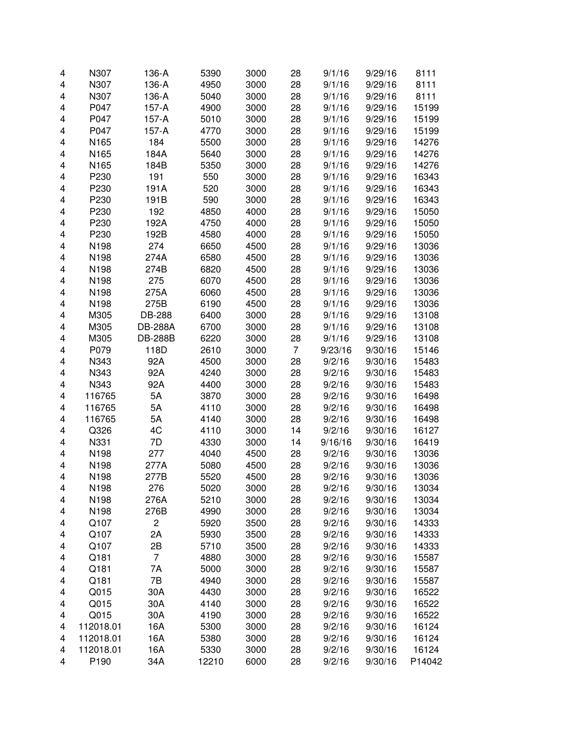| 4 | N307      | 136-A          | 5390  | 3000 | 28             | 9/1/16  | 9/29/16 | 8111   |
|---|-----------|----------------|-------|------|----------------|---------|---------|--------|
| 4 | N307      | 136-A          | 4950  | 3000 | 28             | 9/1/16  | 9/29/16 | 8111   |
| 4 | N307      | 136-A          | 5040  | 3000 | 28             | 9/1/16  | 9/29/16 | 8111   |
| 4 | P047      | 157-A          | 4900  | 3000 | 28             | 9/1/16  | 9/29/16 | 15199  |
| 4 | P047      | 157-A          | 5010  | 3000 | 28             | 9/1/16  | 9/29/16 | 15199  |
| 4 | P047      | $157-A$        | 4770  | 3000 | 28             | 9/1/16  | 9/29/16 | 15199  |
| 4 | N165      | 184            | 5500  | 3000 | 28             | 9/1/16  | 9/29/16 | 14276  |
| 4 | N165      | 184A           | 5640  | 3000 | 28             | 9/1/16  | 9/29/16 | 14276  |
| 4 | N165      | 184B           | 5350  | 3000 | 28             | 9/1/16  | 9/29/16 | 14276  |
| 4 | P230      | 191            | 550   | 3000 | 28             | 9/1/16  | 9/29/16 | 16343  |
| 4 | P230      | 191A           | 520   | 3000 | 28             | 9/1/16  | 9/29/16 | 16343  |
| 4 | P230      | 191B           | 590   | 3000 | 28             | 9/1/16  | 9/29/16 | 16343  |
| 4 | P230      | 192            | 4850  | 4000 | 28             | 9/1/16  | 9/29/16 | 15050  |
| 4 | P230      | 192A           | 4750  | 4000 | 28             | 9/1/16  | 9/29/16 | 15050  |
| 4 | P230      | 192B           | 4580  | 4000 | 28             | 9/1/16  | 9/29/16 | 15050  |
| 4 | N198      | 274            | 6650  | 4500 | 28             | 9/1/16  | 9/29/16 | 13036  |
| 4 | N198      | 274A           | 6580  | 4500 | 28             | 9/1/16  | 9/29/16 | 13036  |
| 4 | N198      | 274B           | 6820  | 4500 | 28             | 9/1/16  | 9/29/16 | 13036  |
| 4 | N198      | 275            | 6070  | 4500 | 28             | 9/1/16  | 9/29/16 | 13036  |
| 4 | N198      | 275A           | 6060  | 4500 | 28             | 9/1/16  | 9/29/16 | 13036  |
| 4 | N198      | 275B           | 6190  | 4500 | 28             | 9/1/16  | 9/29/16 | 13036  |
| 4 | M305      | DB-288         | 6400  | 3000 | 28             | 9/1/16  | 9/29/16 | 13108  |
| 4 | M305      | <b>DB-288A</b> | 6700  | 3000 | 28             | 9/1/16  | 9/29/16 | 13108  |
| 4 | M305      | <b>DB-288B</b> | 6220  | 3000 | 28             | 9/1/16  | 9/29/16 | 13108  |
| 4 | P079      | 118D           | 2610  | 3000 | $\overline{7}$ | 9/23/16 | 9/30/16 | 15146  |
| 4 | N343      | 92A            | 4500  | 3000 | 28             | 9/2/16  | 9/30/16 | 15483  |
| 4 | N343      | 92A            | 4240  | 3000 | 28             | 9/2/16  | 9/30/16 | 15483  |
| 4 | N343      | 92A            | 4400  | 3000 | 28             | 9/2/16  | 9/30/16 | 15483  |
| 4 | 116765    | 5A             | 3870  | 3000 | 28             | 9/2/16  | 9/30/16 | 16498  |
| 4 | 116765    | 5A             | 4110  | 3000 | 28             | 9/2/16  | 9/30/16 | 16498  |
| 4 | 116765    | 5A             | 4140  | 3000 | 28             | 9/2/16  | 9/30/16 | 16498  |
| 4 | Q326      | 4C             | 4110  | 3000 | 14             | 9/2/16  | 9/30/16 | 16127  |
| 4 | N331      | 7D             | 4330  | 3000 | 14             | 9/16/16 | 9/30/16 | 16419  |
| 4 | N198      | 277            | 4040  | 4500 | 28             | 9/2/16  | 9/30/16 | 13036  |
| 4 | N198      | 277A           | 5080  | 4500 | 28             | 9/2/16  | 9/30/16 | 13036  |
| 4 | N198      | 277B           | 5520  | 4500 | 28             | 9/2/16  | 9/30/16 | 13036  |
| 4 | N198      | 276            | 5020  | 3000 | 28             | 9/2/16  | 9/30/16 | 13034  |
| 4 | N198      | 276A           | 5210  | 3000 | 28             | 9/2/16  | 9/30/16 | 13034  |
| 4 | N198      | 276B           | 4990  | 3000 | 28             | 9/2/16  | 9/30/16 | 13034  |
| 4 | Q107      | 2              | 5920  | 3500 | 28             | 9/2/16  | 9/30/16 | 14333  |
| 4 | Q107      | 2A             | 5930  | 3500 | 28             | 9/2/16  | 9/30/16 | 14333  |
| 4 | Q107      | 2B             | 5710  | 3500 | 28             | 9/2/16  | 9/30/16 | 14333  |
| 4 | Q181      | $\overline{7}$ | 4880  | 3000 | 28             | 9/2/16  | 9/30/16 | 15587  |
| 4 | Q181      | 7A             | 5000  | 3000 | 28             | 9/2/16  | 9/30/16 | 15587  |
| 4 | Q181      | 7B             | 4940  | 3000 | 28             | 9/2/16  | 9/30/16 | 15587  |
| 4 | Q015      | 30A            | 4430  | 3000 | 28             | 9/2/16  | 9/30/16 | 16522  |
| 4 | Q015      | 30A            | 4140  | 3000 | 28             | 9/2/16  | 9/30/16 | 16522  |
| 4 | Q015      | 30A            | 4190  | 3000 | 28             | 9/2/16  | 9/30/16 | 16522  |
| 4 | 112018.01 | 16A            | 5300  | 3000 | 28             | 9/2/16  | 9/30/16 | 16124  |
| 4 | 112018.01 | 16A            | 5380  | 3000 | 28             | 9/2/16  | 9/30/16 | 16124  |
| 4 | 112018.01 | 16A            | 5330  | 3000 | 28             | 9/2/16  | 9/30/16 | 16124  |
| 4 | P190      | 34A            | 12210 | 6000 | 28             | 9/2/16  | 9/30/16 | P14042 |
|   |           |                |       |      |                |         |         |        |